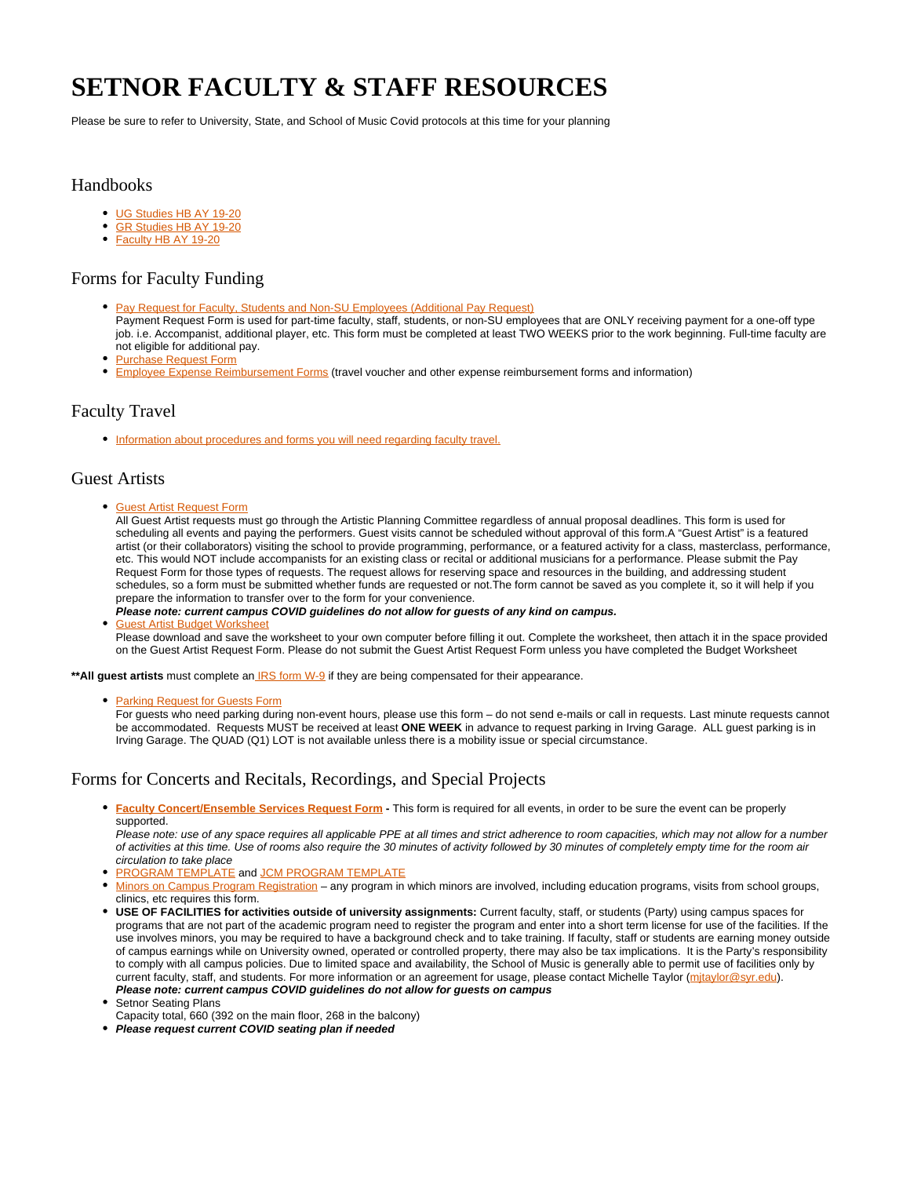# **SETNOR FACULTY & STAFF RESOURCES**

Please be sure to refer to University, State, and School of Music Covid protocols at this time for your planning

#### Handbooks

- [UG Studies HB AY 19-20](https://answers.syr.edu/display/vpa01/Undergraduate+Studies+Handbook)
- $\bullet$ [GR Studies HB AY 19-20](https://answers.syr.edu/display/vpa01/Graduate+Studies+Handbook)
- [Faculty HB AY 19-20](https://answers.syr.edu/display/vpa01/Faculty+Handbook)

# Forms for Faculty Funding

- [Pay Request for Faculty, Students and Non-SU Employees \(Additional Pay Request\)](https://bit.ly/2OAAPDE) Payment Request Form is used for part-time faculty, staff, students, or non-SU employees that are ONLY receiving payment for a one-off type job. i.e. Accompanist, additional player, etc. This form must be completed at least TWO WEEKS prior to the work beginning. Full-time faculty are not eligible for additional pay.
- [Purchase Request Form](https://bit.ly/2DasrW5)
- **[Employee Expense Reimbursement Forms](http://bfas.syr.edu/comptroller/resources/reimbursement/reimbursement-forms/) (travel voucher and other expense reimbursement forms and information)**

### Faculty Travel

• [Information about procedures and forms you will need regarding faculty travel.](https://answers.syr.edu/display/vpa01/Travel)

### Guest Artists

[Guest Artist Request Form](https://bit.ly/37uXeuz)

All Guest Artist requests must go through the Artistic Planning Committee regardless of annual proposal deadlines. This form is used for scheduling all events and paying the performers. Guest visits cannot be scheduled without approval of this form.A "Guest Artist" is a featured artist (or their collaborators) visiting the school to provide programming, performance, or a featured activity for a class, masterclass, performance, etc. This would NOT include accompanists for an existing class or recital or additional musicians for a performance. Please submit the Pay Request Form for those types of requests. The request allows for reserving space and resources in the building, and addressing student schedules, so a form must be submitted whether funds are requested or not.The form cannot be saved as you complete it, so it will help if you prepare the information to transfer over to the form for your convenience.

#### **Please note: current campus COVID guidelines do not allow for guests of any kind on campus.** [Guest Artist Budget Worksheet](https://answers.syr.edu/display/vpa01/Guest+Artist+Budget+Worksheet) Please download and save the worksheet to your own computer before filling it out. Complete the worksheet, then attach it in the space provided on the Guest Artist Request Form. Please do not submit the Guest Artist Request Form unless you have completed the Budget Worksheet

\*\***All guest artists** must complete an **IRS** form W-9 if they are being compensated for their appearance.

**• [Parking Request for Guests Form](https://bit.ly/2OapKds)** 

For guests who need parking during non-event hours, please use this form – do not send e-mails or call in requests. Last minute requests cannot be accommodated. Requests MUST be received at least **ONE WEEK** in advance to request parking in Irving Garage. ALL guest parking is in Irving Garage. The QUAD (Q1) LOT is not available unless there is a mobility issue or special circumstance.

### Forms for Concerts and Recitals, Recordings, and Special Projects

**[Faculty Concert/Ensemble Services Request Form](https://bit.ly/2FMOW7Q) -** This form is required for all events, in order to be sure the event can be properly supported.

Please note: use of any space requires all applicable PPE at all times and strict adherence to room capacities, which may not allow for a number of activities at this time. Use of rooms also require the 30 minutes of activity followed by 30 minutes of completely empty time for the room air circulation to take place

- **[PROGRAM TEMPLATE](https://answers.syr.edu/display/vpa01/Program+Templates) and [JCM PROGRAM TEMPLATE](https://answers.syr.edu/display/vpa01/Program+Templates)**
- [Minors on Campus Program Registration](http://riskmanagement.syr.edu/policies-and-procedures/minors-on-campus/program-registration/)  any program in which minors are involved, including education programs, visits from school groups, clinics, etc requires this form.
- **USE OF FACILITIES for activities outside of university assignments:** Current faculty, staff, or students (Party) using campus spaces for programs that are not part of the academic program need to register the program and enter into a short term license for use of the facilities. If the use involves minors, you may be required to have a background check and to take training. If faculty, staff or students are earning money outside of campus earnings while on University owned, operated or controlled property, there may also be tax implications. It is the Party's responsibility to comply with all campus policies. Due to limited space and availability, the School of Music is generally able to permit use of facilities only by current faculty, staff, and students. For more information or an agreement for usage, please contact Michelle Taylor (mitaylor@syr.edu). **Please note: current campus COVID guidelines do not allow for guests on campus**

Setnor Seating Plans

- Capacity total, 660 (392 on the main floor, 268 in the balcony)
- **Please request current COVID seating plan if needed**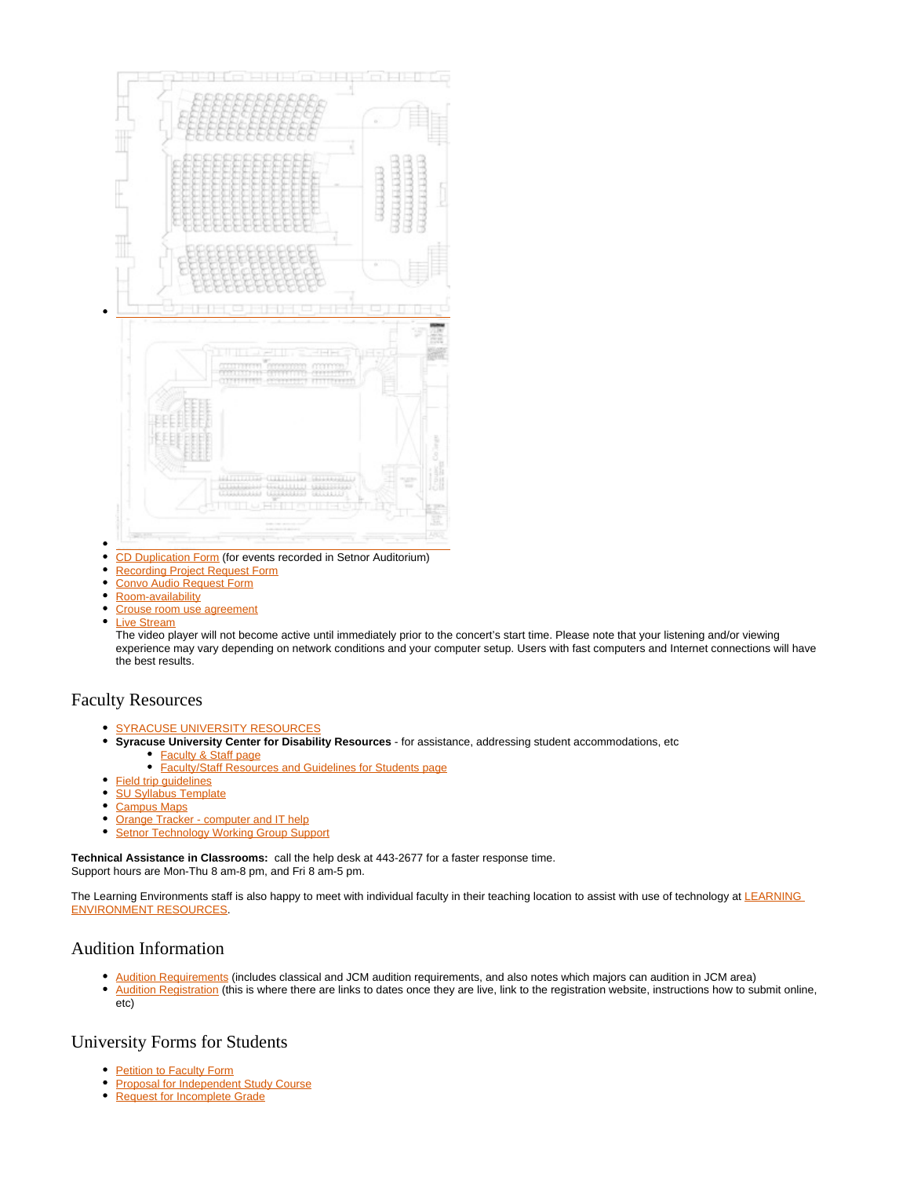

- $\bullet$ [CD Duplication Form](https://bit.ly/2pH5WF0) (for events recorded in Setnor Auditorium)
- $\bullet$ [Recording Project Request Form](https://bit.ly/2O9NvlQ)
- $\bullet$ [Convo Audio Request Form](https://bit.ly/34dkmfc)
- $\bullet$ [Room-availability](https://answers.syr.edu/display/vpa01/Room+Availability+and+Access+Google+Calendar)
- [Crouse room use agreement](https://answers.syr.edu/display/vpa01/Crouse+Room+Use+Agreement)
- $\bullet$ [Live Stream](http://riverbendmedia.com/jwplayer/syr.html)

The video player will not become active until immediately prior to the concert's start time. Please note that your listening and/or viewing experience may vary depending on network conditions and your computer setup. Users with fast computers and Internet connections will have the best results.

#### Faculty Resources

- [SYRACUSE UNIVERSITY RESOURCES](https://www.syracuse.edu/life/faculty-staff/)
- $\bullet$ **Syracuse University Center for Disability Resources** - for assistance, addressing student accommodations, etc [Faculty & Staff page](https://disabilityresources.syr.edu/facultystaff/)
	- [Faculty/Staff Resources and Guidelines for Students page](https://disabilityresources.syr.edu/covid19updates/facultystaff/)
- $\bullet$ **Field trip quidelines**
- [SU Syllabus Template](https://universitysenate.syr.edu/committees/curricula/courses-procedures-and-forms/forms/)
- $\bullet$ [Campus Maps](http://www.syr.edu/about/maps/)
- $\bullet$ [Orange Tracker - computer and IT help](https://ot.syr.edu/secure/Dashboard.jspa)
- $\bullet$ [Setnor Technology Working Group Support](https://dhknapp.expressions.syr.edu/setnor-covid-tech/support/)

**Technical Assistance in Classrooms:** call the help desk at 443-2677 for a faster response time. Support hours are Mon-Thu 8 am-8 pm, and Fri 8 am-5 pm.

The Learning Environments staff is also happy to meet with individual faculty in their teaching location to assist with use of technology at LEARNING [ENVIRONMENT RESOURCES](https://its.syr.edu/about-us/departments/learning-environments-and-media-production/).

## Audition Information

- [Audition Requirements](http://vpa.syr.edu/prospective-students/undergraduate-students/admissions-requirements/setnor-school-of-music/) (includes classical and JCM audition requirements, and also notes which majors can audition in JCM area)
- $\bullet$ [Audition Registration](http://vpa.syr.edu/prospective-students/undergraduate-students/admissions-requirements/setnor-school-of-music/audition-registration/) (this is where there are links to dates once they are live, link to the registration website, instructions how to submit online, etc)

#### University Forms for Students

- [Petition to Faculty Form](http://www.syr.edu/registrar/forms/Petition_to_Faculty.pdf)
- $\bullet$ [Proposal for Independent Study Course](http://www.syr.edu/registrar/forms/Proposal_for_Independent_Study_Course.pdf)
- $\bullet$ [Request for Incomplete Grade](http://www.syr.edu/registrar/forms/Request_for_Incomplete_Grade.pdf)